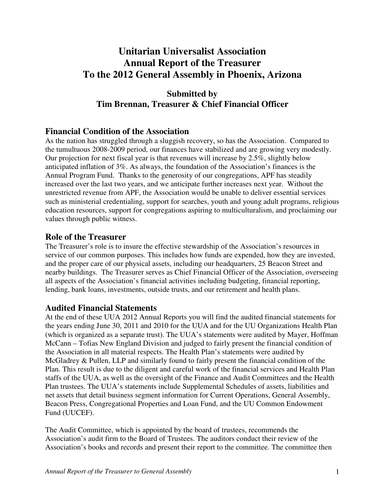# **Unitarian Universalist Association Annual Report of the Treasurer To the 2012 General Assembly in Phoenix, Arizona**

## **Submitted by Tim Brennan, Treasurer & Chief Financial Officer**

### **Financial Condition of the Association**

As the nation has struggled through a sluggish recovery, so has the Association. Compared to the tumultuous 2008-2009 period, our finances have stabilized and are growing very modestly. Our projection for next fiscal year is that revenues will increase by 2.5%, slightly below anticipated inflation of 3%. As always, the foundation of the Association's finances is the Annual Program Fund. Thanks to the generosity of our congregations, APF has steadily increased over the last two years, and we anticipate further increases next year. Without the unrestricted revenue from APF, the Association would be unable to deliver essential services such as ministerial credentialing, support for searches, youth and young adult programs, religious education resources, support for congregations aspiring to multiculturalism, and proclaiming our values through public witness.

### **Role of the Treasurer**

The Treasurer's role is to insure the effective stewardship of the Association's resources in service of our common purposes. This includes how funds are expended, how they are invested, and the proper care of our physical assets, including our headquarters, 25 Beacon Street and nearby buildings. The Treasurer serves as Chief Financial Officer of the Association, overseeing all aspects of the Association's financial activities including budgeting, financial reporting, lending, bank loans, investments, outside trusts, and our retirement and health plans.

### **Audited Financial Statements**

At the end of these UUA 2012 Annual Reports you will find the audited financial statements for the years ending June 30, 2011 and 2010 for the UUA and for the UU Organizations Health Plan (which is organized as a separate trust). The UUA's statements were audited by Mayer, Hoffman McCann – Tofias New England Division and judged to fairly present the financial condition of the Association in all material respects. The Health Plan's statements were audited by McGladrey & Pullen, LLP and similarly found to fairly present the financial condition of the Plan. This result is due to the diligent and careful work of the financial services and Health Plan staffs of the UUA, as well as the oversight of the Finance and Audit Committees and the Health Plan trustees. The UUA's statements include Supplemental Schedules of assets, liabilities and net assets that detail business segment information for Current Operations, General Assembly, Beacon Press, Congregational Properties and Loan Fund, and the UU Common Endowment Fund (UUCEF).

The Audit Committee, which is appointed by the board of trustees, recommends the Association's audit firm to the Board of Trustees. The auditors conduct their review of the Association's books and records and present their report to the committee. The committee then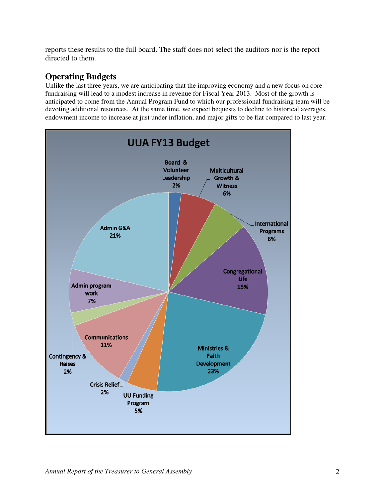reports these results to the full board. The staff does not select the auditors nor is the report directed to them.

## **Operating Budgets**

Unlike the last three years, we are anticipating that the improving economy and a new focus on core fundraising will lead to a modest increase in revenue for Fiscal Year 2013. Most of the growth is anticipated to come from the Annual Program Fund to which our professional fundraising team will be devoting additional resources. At the same time, we expect bequests to decline to historical averages, endowment income to increase at just under inflation, and major gifts to be flat compared to last year.

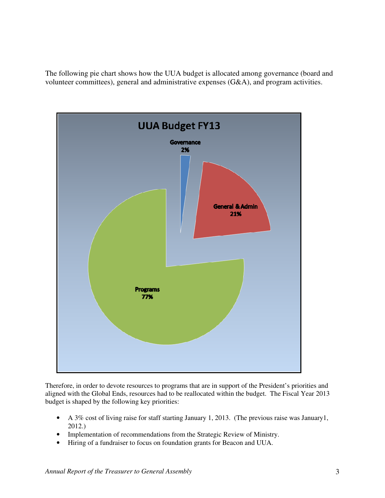The following pie chart shows how the UUA budget is allocated among governance (board and volunteer committees), general and administrative expenses (G&A), and program activities.



Therefore, in order to devote resources to programs that are in support of the President's priorities and aligned with the Global Ends, resources had to be reallocated within the budget. The Fiscal Year 2013 budget is shaped by the following key priorities:

- A 3% cost of living raise for staff starting January 1, 2013. (The previous raise was January1, 2012.)
- Implementation of recommendations from the Strategic Review of Ministry.
- Hiring of a fundraiser to focus on foundation grants for Beacon and UUA.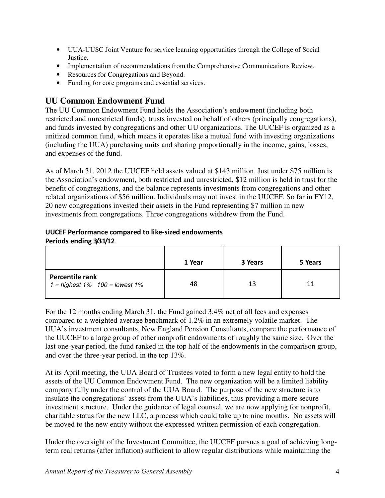- UUA-UUSC Joint Venture for service learning opportunities through the College of Social Justice.
- Implementation of recommendations from the Comprehensive Communications Review.
- Resources for Congregations and Beyond.
- Funding for core programs and essential services.

## **UU Common Endowment Fund**

The UU Common Endowment Fund holds the Association's endowment (including both restricted and unrestricted funds), trusts invested on behalf of others (principally congregations), and funds invested by congregations and other UU organizations. The UUCEF is organized as a unitized common fund, which means it operates like a mutual fund with investing organizations (including the UUA) purchasing units and sharing proportionally in the income, gains, losses, and expenses of the fund.

As of March 31, 2012 the UUCEF held assets valued at \$143 million. Just under \$75 million is the Association's endowment, both restricted and unrestricted, \$12 million is held in trust for the benefit of congregations, and the balance represents investments from congregations and other related organizations of \$56 million. Individuals may not invest in the UUCEF. So far in FY12, 20 new congregations invested their assets in the Fund representing \$7 million in new investments from congregations. Three congregations withdrew from the Fund.

#### UUCEF Performance compared to like-sized endowments Periods ending 3/31/12

|                                                             | 1 Year | 3 Years | 5 Years |
|-------------------------------------------------------------|--------|---------|---------|
| Percentile rank<br>$1 =$ highest $1\%$ $100 =$ lowest $1\%$ | 48     | 13      | 11      |

For the 12 months ending March 31, the Fund gained 3.4% net of all fees and expenses compared to a weighted average benchmark of 1.2% in an extremely volatile market. The UUA's investment consultants, New England Pension Consultants, compare the performance of the UUCEF to a large group of other nonprofit endowments of roughly the same size. Over the last one-year period, the fund ranked in the top half of the endowments in the comparison group, and over the three-year period, in the top 13%.

At its April meeting, the UUA Board of Trustees voted to form a new legal entity to hold the assets of the UU Common Endowment Fund. The new organization will be a limited liability company fully under the control of the UUA Board. The purpose of the new structure is to insulate the congregations' assets from the UUA's liabilities, thus providing a more secure investment structure. Under the guidance of legal counsel, we are now applying for nonprofit, charitable status for the new LLC, a process which could take up to nine months. No assets will be moved to the new entity without the expressed written permission of each congregation.

Under the oversight of the Investment Committee, the UUCEF pursues a goal of achieving longterm real returns (after inflation) sufficient to allow regular distributions while maintaining the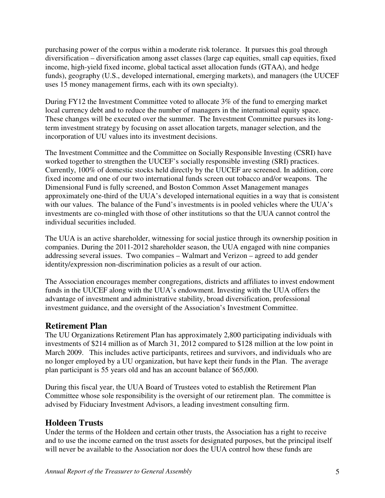purchasing power of the corpus within a moderate risk tolerance. It pursues this goal through diversification – diversification among asset classes (large cap equities, small cap equities, fixed income, high-yield fixed income, global tactical asset allocation funds (GTAA), and hedge funds), geography (U.S., developed international, emerging markets), and managers (the UUCEF uses 15 money management firms, each with its own specialty).

During FY12 the Investment Committee voted to allocate 3% of the fund to emerging market local currency debt and to reduce the number of managers in the international equity space. These changes will be executed over the summer. The Investment Committee pursues its longterm investment strategy by focusing on asset allocation targets, manager selection, and the incorporation of UU values into its investment decisions.

The Investment Committee and the Committee on Socially Responsible Investing (CSRI) have worked together to strengthen the UUCEF's socially responsible investing (SRI) practices. Currently, 100% of domestic stocks held directly by the UUCEF are screened. In addition, core fixed income and one of our two international funds screen out tobacco and/or weapons. The Dimensional Fund is fully screened, and Boston Common Asset Management manages approximately one-third of the UUA's developed international equities in a way that is consistent with our values. The balance of the Fund's investments is in pooled vehicles where the UUA's investments are co-mingled with those of other institutions so that the UUA cannot control the individual securities included.

The UUA is an active shareholder, witnessing for social justice through its ownership position in companies. During the 2011-2012 shareholder season, the UUA engaged with nine companies addressing several issues. Two companies – Walmart and Verizon – agreed to add gender identity/expression non-discrimination policies as a result of our action.

The Association encourages member congregations, districts and affiliates to invest endowment funds in the UUCEF along with the UUA's endowment. Investing with the UUA offers the advantage of investment and administrative stability, broad diversification, professional investment guidance, and the oversight of the Association's Investment Committee.

## **Retirement Plan**

The UU Organizations Retirement Plan has approximately 2,800 participating individuals with investments of \$214 million as of March 31, 2012 compared to \$128 million at the low point in March 2009. This includes active participants, retirees and survivors, and individuals who are no longer employed by a UU organization, but have kept their funds in the Plan. The average plan participant is 55 years old and has an account balance of \$65,000.

During this fiscal year, the UUA Board of Trustees voted to establish the Retirement Plan Committee whose sole responsibility is the oversight of our retirement plan. The committee is advised by Fiduciary Investment Advisors, a leading investment consulting firm.

## **Holdeen Trusts**

Under the terms of the Holdeen and certain other trusts, the Association has a right to receive and to use the income earned on the trust assets for designated purposes, but the principal itself will never be available to the Association nor does the UUA control how these funds are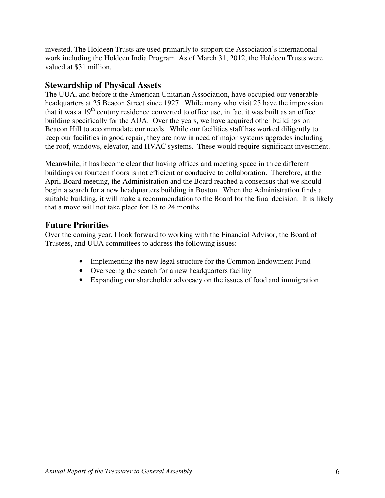invested. The Holdeen Trusts are used primarily to support the Association's international work including the Holdeen India Program. As of March 31, 2012, the Holdeen Trusts were valued at \$31 million.

### **Stewardship of Physical Assets**

The UUA, and before it the American Unitarian Association, have occupied our venerable headquarters at 25 Beacon Street since 1927. While many who visit 25 have the impression that it was a  $19<sup>th</sup>$  century residence converted to office use, in fact it was built as an office building specifically for the AUA. Over the years, we have acquired other buildings on Beacon Hill to accommodate our needs. While our facilities staff has worked diligently to keep our facilities in good repair, they are now in need of major systems upgrades including the roof, windows, elevator, and HVAC systems. These would require significant investment.

Meanwhile, it has become clear that having offices and meeting space in three different buildings on fourteen floors is not efficient or conducive to collaboration. Therefore, at the April Board meeting, the Administration and the Board reached a consensus that we should begin a search for a new headquarters building in Boston. When the Administration finds a suitable building, it will make a recommendation to the Board for the final decision. It is likely that a move will not take place for 18 to 24 months.

### **Future Priorities**

Over the coming year, I look forward to working with the Financial Advisor, the Board of Trustees, and UUA committees to address the following issues:

- Implementing the new legal structure for the Common Endowment Fund
- Overseeing the search for a new headquarters facility
- Expanding our shareholder advocacy on the issues of food and immigration